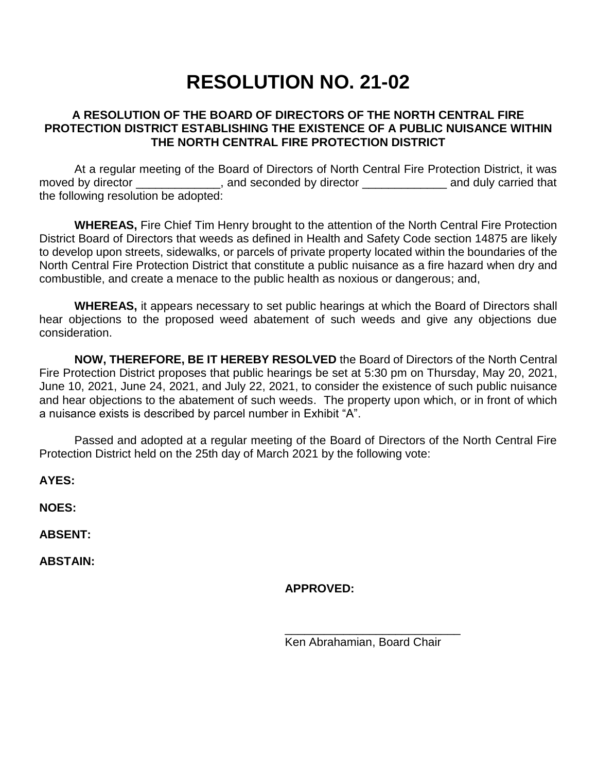# **RESOLUTION NO. 21-02**

#### **A RESOLUTION OF THE BOARD OF DIRECTORS OF THE NORTH CENTRAL FIRE PROTECTION DISTRICT ESTABLISHING THE EXISTENCE OF A PUBLIC NUISANCE WITHIN THE NORTH CENTRAL FIRE PROTECTION DISTRICT**

At a regular meeting of the Board of Directors of North Central Fire Protection District, it was moved by director The seconded by director and duly carried that the following resolution be adopted:

**WHEREAS,** Fire Chief Tim Henry brought to the attention of the North Central Fire Protection District Board of Directors that weeds as defined in Health and Safety Code section 14875 are likely to develop upon streets, sidewalks, or parcels of private property located within the boundaries of the North Central Fire Protection District that constitute a public nuisance as a fire hazard when dry and combustible, and create a menace to the public health as noxious or dangerous; and,

**WHEREAS,** it appears necessary to set public hearings at which the Board of Directors shall hear objections to the proposed weed abatement of such weeds and give any objections due consideration.

**NOW, THEREFORE, BE IT HEREBY RESOLVED** the Board of Directors of the North Central Fire Protection District proposes that public hearings be set at 5:30 pm on Thursday, May 20, 2021, June 10, 2021, June 24, 2021, and July 22, 2021, to consider the existence of such public nuisance and hear objections to the abatement of such weeds. The property upon which, or in front of which a nuisance exists is described by parcel number in Exhibit "A".

Passed and adopted at a regular meeting of the Board of Directors of the North Central Fire Protection District held on the 25th day of March 2021 by the following vote:

**AYES:** 

**NOES:**

**ABSENT:** 

**ABSTAIN:**

**APPROVED:**

Ken Abrahamian, Board Chair

\_\_\_\_\_\_\_\_\_\_\_\_\_\_\_\_\_\_\_\_\_\_\_\_\_\_\_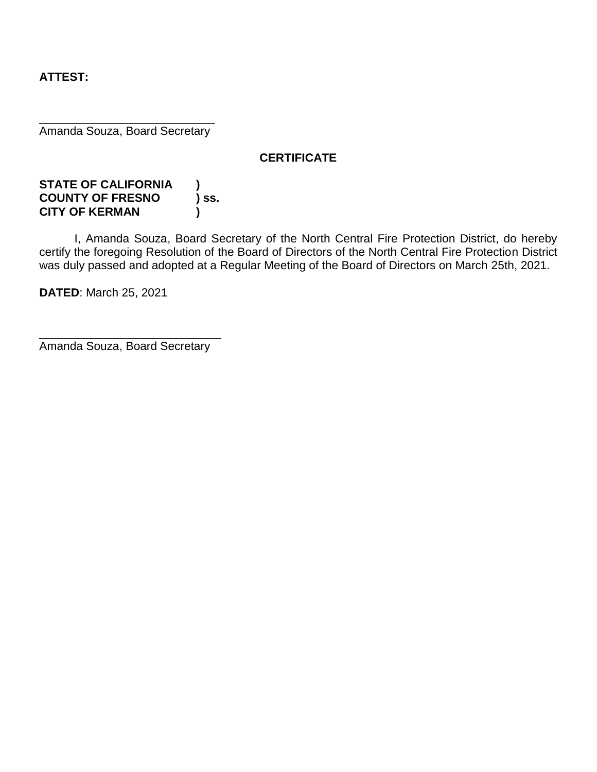### **ATTEST:**

\_\_\_\_\_\_\_\_\_\_\_\_\_\_\_\_\_\_\_\_\_\_\_\_\_\_\_ Amanda Souza, Board Secretary

#### **CERTIFICATE**

#### **STATE OF CALIFORNIA ) COUNTY OF FRESNO ) ss. CITY OF KERMAN )**

I, Amanda Souza, Board Secretary of the North Central Fire Protection District, do hereby certify the foregoing Resolution of the Board of Directors of the North Central Fire Protection District was duly passed and adopted at a Regular Meeting of the Board of Directors on March 25th, 2021.

**DATED**: March 25, 2021

\_\_\_\_\_\_\_\_\_\_\_\_\_\_\_\_\_\_\_\_\_\_\_\_\_\_\_\_ Amanda Souza, Board Secretary